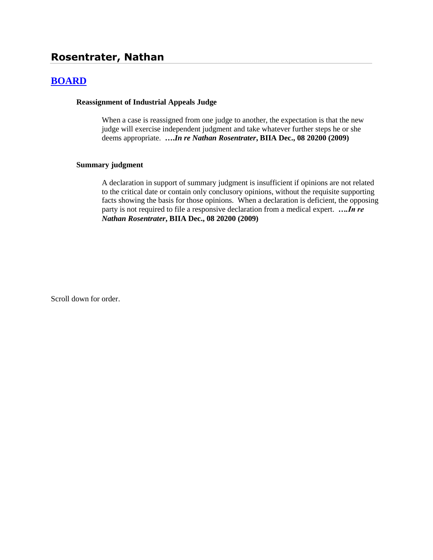# **Rosentrater, Nathan**

## **[BOARD](http://www.biia.wa.gov/SDSubjectIndex.html#BOARD)**

#### **Reassignment of Industrial Appeals Judge**

When a case is reassigned from one judge to another, the expectation is that the new judge will exercise independent judgment and take whatever further steps he or she deems appropriate. **….***In re Nathan Rosentrater***, BIIA Dec., 08 20200 (2009)**

#### **Summary judgment**

A declaration in support of summary judgment is insufficient if opinions are not related to the critical date or contain only conclusory opinions, without the requisite supporting facts showing the basis for those opinions. When a declaration is deficient, the opposing party is not required to file a responsive declaration from a medical expert.*….In re Nathan Rosentrater***, BIIA Dec., 08 20200 (2009)**

Scroll down for order.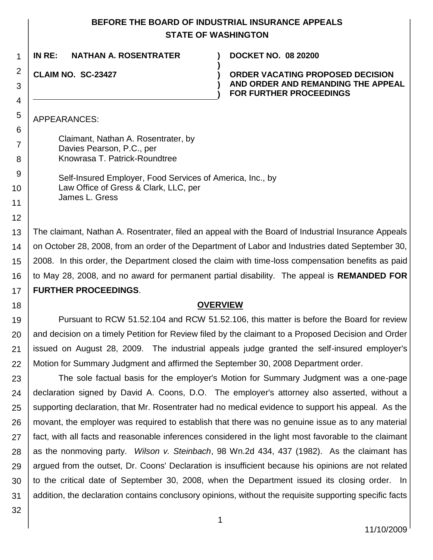## **BEFORE THE BOARD OF INDUSTRIAL INSURANCE APPEALS STATE OF WASHINGTON**

**)**

**) )**

**IN RE: NATHAN A. ROSENTRATER ) DOCKET NO. 08 20200**

**CLAIM NO. SC-23427 )**

1

2

3

4

5

6

7

8 9

10

11

12

18

**ORDER VACATING PROPOSED DECISION AND ORDER AND REMANDING THE APPEAL FOR FURTHER PROCEEDINGS**

APPEARANCES:

Claimant, Nathan A. Rosentrater, by Davies Pearson, P.C., per Knowrasa T. Patrick-Roundtree

Self-Insured Employer, Food Services of America, Inc., by Law Office of Gress & Clark, LLC, per James L. Gress

13 14 15 16 17 The claimant, Nathan A. Rosentrater, filed an appeal with the Board of Industrial Insurance Appeals on October 28, 2008, from an order of the Department of Labor and Industries dated September 30, 2008. In this order, the Department closed the claim with time-loss compensation benefits as paid to May 28, 2008, and no award for permanent partial disability. The appeal is **REMANDED FOR FURTHER PROCEEDINGS**.

### **OVERVIEW**

19 20 21 22 Pursuant to RCW 51.52.104 and RCW 51.52.106, this matter is before the Board for review and decision on a timely Petition for Review filed by the claimant to a Proposed Decision and Order issued on August 28, 2009. The industrial appeals judge granted the self-insured employer's Motion for Summary Judgment and affirmed the September 30, 2008 Department order.

23 24 25 26 27 28 29 30 31 The sole factual basis for the employer's Motion for Summary Judgment was a one-page declaration signed by David A. Coons, D.O. The employer's attorney also asserted, without a supporting declaration, that Mr. Rosentrater had no medical evidence to support his appeal. As the movant, the employer was required to establish that there was no genuine issue as to any material fact, with all facts and reasonable inferences considered in the light most favorable to the claimant as the nonmoving party. *Wilson v. Steinbach*, 98 Wn.2d 434, 437 (1982). As the claimant has argued from the outset, Dr. Coons' Declaration is insufficient because his opinions are not related to the critical date of September 30, 2008, when the Department issued its closing order. In addition, the declaration contains conclusory opinions, without the requisite supporting specific facts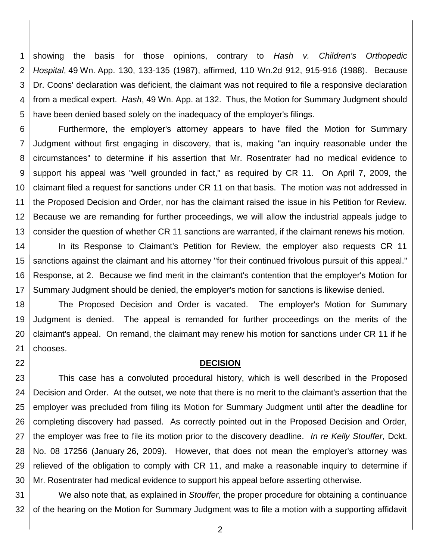1 2 3 4 5 showing the basis for those opinions, contrary to *Hash v. Children's Orthopedic Hospital*, 49 Wn. App. 130, 133-135 (1987), affirmed, 110 Wn.2d 912, 915-916 (1988). Because Dr. Coons' declaration was deficient, the claimant was not required to file a responsive declaration from a medical expert. *Hash*, 49 Wn. App. at 132. Thus, the Motion for Summary Judgment should have been denied based solely on the inadequacy of the employer's filings.

6 7 8 9 10 11 12 13 Furthermore, the employer's attorney appears to have filed the Motion for Summary Judgment without first engaging in discovery, that is, making "an inquiry reasonable under the circumstances" to determine if his assertion that Mr. Rosentrater had no medical evidence to support his appeal was "well grounded in fact," as required by CR 11. On April 7, 2009, the claimant filed a request for sanctions under CR 11 on that basis. The motion was not addressed in the Proposed Decision and Order, nor has the claimant raised the issue in his Petition for Review. Because we are remanding for further proceedings, we will allow the industrial appeals judge to consider the question of whether CR 11 sanctions are warranted, if the claimant renews his motion.

14 15 16 17 In its Response to Claimant's Petition for Review, the employer also requests CR 11 sanctions against the claimant and his attorney "for their continued frivolous pursuit of this appeal." Response, at 2. Because we find merit in the claimant's contention that the employer's Motion for Summary Judgment should be denied, the employer's motion for sanctions is likewise denied.

18 19 20 21 The Proposed Decision and Order is vacated. The employer's Motion for Summary Judgment is denied. The appeal is remanded for further proceedings on the merits of the claimant's appeal. On remand, the claimant may renew his motion for sanctions under CR 11 if he chooses.

#### **DECISION**

22

23 24 25 26 27 28 29 30 This case has a convoluted procedural history, which is well described in the Proposed Decision and Order. At the outset, we note that there is no merit to the claimant's assertion that the employer was precluded from filing its Motion for Summary Judgment until after the deadline for completing discovery had passed. As correctly pointed out in the Proposed Decision and Order, the employer was free to file its motion prior to the discovery deadline. *In re Kelly Stouffer*, Dckt. No. 08 17256 (January 26, 2009). However, that does not mean the employer's attorney was relieved of the obligation to comply with CR 11, and make a reasonable inquiry to determine if Mr. Rosentrater had medical evidence to support his appeal before asserting otherwise.

31 32 We also note that, as explained in *Stouffer*, the proper procedure for obtaining a continuance of the hearing on the Motion for Summary Judgment was to file a motion with a supporting affidavit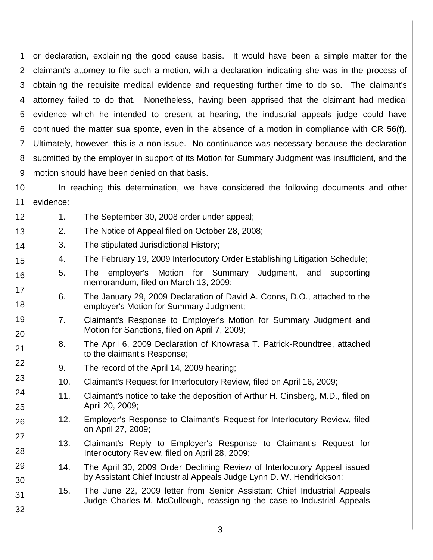1 2 3 4 5 6 7 8 9 or declaration, explaining the good cause basis. It would have been a simple matter for the claimant's attorney to file such a motion, with a declaration indicating she was in the process of obtaining the requisite medical evidence and requesting further time to do so. The claimant's attorney failed to do that. Nonetheless, having been apprised that the claimant had medical evidence which he intended to present at hearing, the industrial appeals judge could have continued the matter sua sponte, even in the absence of a motion in compliance with CR 56(f). Ultimately, however, this is a non-issue. No continuance was necessary because the declaration submitted by the employer in support of its Motion for Summary Judgment was insufficient, and the motion should have been denied on that basis.

10 11 In reaching this determination, we have considered the following documents and other evidence:

- 1. The September 30, 2008 order under appeal;
- 13 2. The Notice of Appeal filed on October 28, 2008;
	- 3. The stipulated Jurisdictional History;

12

14

15

16

17

18

19

20

21

22

23

24

25

26

27

28

29

30

31

- 4. The February 19, 2009 Interlocutory Order Establishing Litigation Schedule;
- 5. The employer's Motion for Summary Judgment, and supporting memorandum, filed on March 13, 2009;
	- 6. The January 29, 2009 Declaration of David A. Coons, D.O., attached to the employer's Motion for Summary Judgment;
	- 7. Claimant's Response to Employer's Motion for Summary Judgment and Motion for Sanctions, filed on April 7, 2009;
- 8. The April 6, 2009 Declaration of Knowrasa T. Patrick-Roundtree, attached to the claimant's Response;
	- 9. The record of the April 14, 2009 hearing;
	- 10. Claimant's Request for Interlocutory Review, filed on April 16, 2009;
	- 11. Claimant's notice to take the deposition of Arthur H. Ginsberg, M.D., filed on April 20, 2009;
- 12. Employer's Response to Claimant's Request for Interlocutory Review, filed on April 27, 2009;
	- 13. Claimant's Reply to Employer's Response to Claimant's Request for Interlocutory Review, filed on April 28, 2009;
- 14. The April 30, 2009 Order Declining Review of Interlocutory Appeal issued by Assistant Chief Industrial Appeals Judge Lynn D. W. Hendrickson;
- 15. The June 22, 2009 letter from Senior Assistant Chief Industrial Appeals Judge Charles M. McCullough, reassigning the case to Industrial Appeals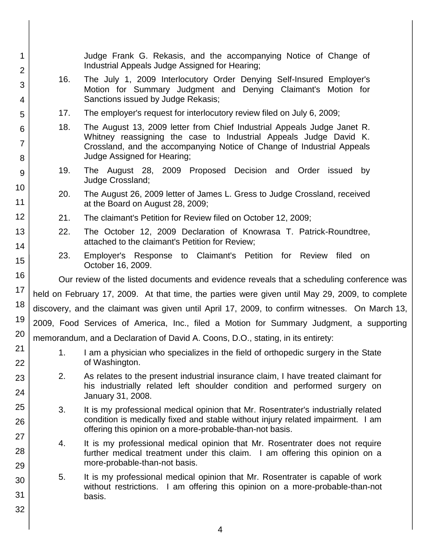| 1<br>$\overline{2}$ |                                                                                                 | Judge Frank G. Rekasis, and the accompanying Notice of Change of<br>Industrial Appeals Judge Assigned for Hearing;                                                                                                     |  |
|---------------------|-------------------------------------------------------------------------------------------------|------------------------------------------------------------------------------------------------------------------------------------------------------------------------------------------------------------------------|--|
| 3                   | 16.                                                                                             | The July 1, 2009 Interlocutory Order Denying Self-Insured Employer's                                                                                                                                                   |  |
| 4                   |                                                                                                 | Motion for Summary Judgment and Denying Claimant's Motion for<br>Sanctions issued by Judge Rekasis;                                                                                                                    |  |
| 5                   | 17.                                                                                             | The employer's request for interlocutory review filed on July 6, 2009;                                                                                                                                                 |  |
| 6                   | 18.                                                                                             | The August 13, 2009 letter from Chief Industrial Appeals Judge Janet R.<br>Whitney reassigning the case to Industrial Appeals Judge David K.<br>Crossland, and the accompanying Notice of Change of Industrial Appeals |  |
| $\overline{7}$      |                                                                                                 |                                                                                                                                                                                                                        |  |
| 8                   |                                                                                                 | Judge Assigned for Hearing;                                                                                                                                                                                            |  |
| 9                   | 19.                                                                                             | The August 28, 2009 Proposed Decision and Order issued<br>by<br>Judge Crossland;                                                                                                                                       |  |
| 10<br>11            | 20.                                                                                             | The August 26, 2009 letter of James L. Gress to Judge Crossland, received                                                                                                                                              |  |
| 12                  | 21.                                                                                             | at the Board on August 28, 2009;<br>The claimant's Petition for Review filed on October 12, 2009;                                                                                                                      |  |
| 13                  | 22.                                                                                             | The October 12, 2009 Declaration of Knowrasa T. Patrick-Roundtree,                                                                                                                                                     |  |
| 14                  |                                                                                                 | attached to the claimant's Petition for Review;                                                                                                                                                                        |  |
| 15                  | 23.                                                                                             | Employer's Response to Claimant's Petition for Review<br>filed<br>on<br>October 16, 2009.                                                                                                                              |  |
| 16                  | Our review of the listed documents and evidence reveals that a scheduling conference was        |                                                                                                                                                                                                                        |  |
| 17                  | held on February 17, 2009. At that time, the parties were given until May 29, 2009, to complete |                                                                                                                                                                                                                        |  |
| 18                  | discovery, and the claimant was given until April 17, 2009, to confirm witnesses. On March 13,  |                                                                                                                                                                                                                        |  |
| 19                  | 2009, Food Services of America, Inc., filed a Motion for Summary Judgment, a supporting         |                                                                                                                                                                                                                        |  |
| 20                  | memorandum, and a Declaration of David A. Coons, D.O., stating, in its entirety:                |                                                                                                                                                                                                                        |  |
| 21                  | 1.                                                                                              | I am a physician who specializes in the field of orthopedic surgery in the State                                                                                                                                       |  |
| 22                  |                                                                                                 | of Washington.                                                                                                                                                                                                         |  |
| 23                  | 2.                                                                                              | As relates to the present industrial insurance claim, I have treated claimant for<br>his industrially related left shoulder condition and performed surgery on                                                         |  |
| 24                  |                                                                                                 | January 31, 2008.                                                                                                                                                                                                      |  |
| 25                  | 3.                                                                                              | It is my professional medical opinion that Mr. Rosentrater's industrially related<br>condition is medically fixed and stable without injury related impairment. I am                                                   |  |
| 26<br>27            |                                                                                                 | offering this opinion on a more-probable-than-not basis.                                                                                                                                                               |  |
| 28                  | 4.                                                                                              | It is my professional medical opinion that Mr. Rosentrater does not require                                                                                                                                            |  |
| 29                  |                                                                                                 | further medical treatment under this claim. I am offering this opinion on a<br>more-probable-than-not basis.                                                                                                           |  |
| 30                  | 5.                                                                                              | It is my professional medical opinion that Mr. Rosentrater is capable of work                                                                                                                                          |  |
| 31                  |                                                                                                 | without restrictions. I am offering this opinion on a more-probable-than-not<br>basis.                                                                                                                                 |  |
|                     |                                                                                                 |                                                                                                                                                                                                                        |  |
| 32                  |                                                                                                 |                                                                                                                                                                                                                        |  |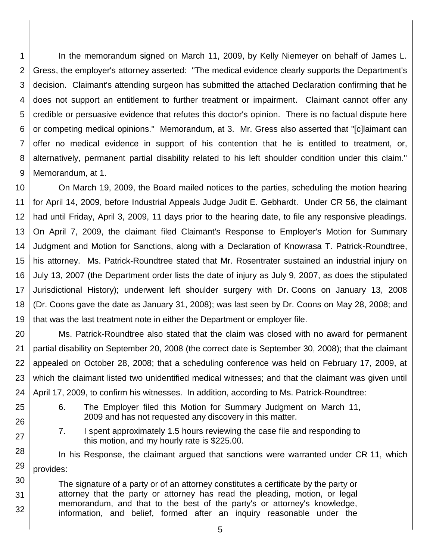1 2 3 4 5 6 7 8 9 In the memorandum signed on March 11, 2009, by Kelly Niemeyer on behalf of James L. Gress, the employer's attorney asserted: "The medical evidence clearly supports the Department's decision. Claimant's attending surgeon has submitted the attached Declaration confirming that he does not support an entitlement to further treatment or impairment. Claimant cannot offer any credible or persuasive evidence that refutes this doctor's opinion. There is no factual dispute here or competing medical opinions." Memorandum, at 3. Mr. Gress also asserted that "[c]laimant can offer no medical evidence in support of his contention that he is entitled to treatment, or, alternatively, permanent partial disability related to his left shoulder condition under this claim." Memorandum, at 1.

10 11 12 13 14 15 16 17 18 19 On March 19, 2009, the Board mailed notices to the parties, scheduling the motion hearing for April 14, 2009, before Industrial Appeals Judge Judit E. Gebhardt. Under CR 56, the claimant had until Friday, April 3, 2009, 11 days prior to the hearing date, to file any responsive pleadings. On April 7, 2009, the claimant filed Claimant's Response to Employer's Motion for Summary Judgment and Motion for Sanctions, along with a Declaration of Knowrasa T. Patrick-Roundtree, his attorney. Ms. Patrick-Roundtree stated that Mr. Rosentrater sustained an industrial injury on July 13, 2007 (the Department order lists the date of injury as July 9, 2007, as does the stipulated Jurisdictional History); underwent left shoulder surgery with Dr. Coons on January 13, 2008 (Dr. Coons gave the date as January 31, 2008); was last seen by Dr. Coons on May 28, 2008; and that was the last treatment note in either the Department or employer file.

20 21 22 23 24 Ms. Patrick-Roundtree also stated that the claim was closed with no award for permanent partial disability on September 20, 2008 (the correct date is September 30, 2008); that the claimant appealed on October 28, 2008; that a scheduling conference was held on February 17, 2009, at which the claimant listed two unidentified medical witnesses; and that the claimant was given until April 17, 2009, to confirm his witnesses. In addition, according to Ms. Patrick-Roundtree:

25 26

27

- 6. The Employer filed this Motion for Summary Judgment on March 11, 2009 and has not requested any discovery in this matter.
- 7. I spent approximately 1.5 hours reviewing the case file and responding to this motion, and my hourly rate is \$225.00.

28 29 In his Response, the claimant argued that sanctions were warranted under CR 11, which provides:

30 31 32 The signature of a party or of an attorney constitutes a certificate by the party or attorney that the party or attorney has read the pleading, motion, or legal memorandum, and that to the best of the party's or attorney's knowledge, information, and belief, formed after an inquiry reasonable under the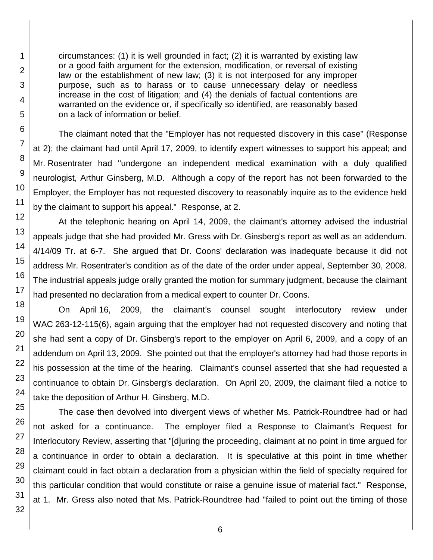circumstances: (1) it is well grounded in fact; (2) it is warranted by existing law or a good faith argument for the extension, modification, or reversal of existing law or the establishment of new law; (3) it is not interposed for any improper purpose, such as to harass or to cause unnecessary delay or needless increase in the cost of litigation; and (4) the denials of factual contentions are warranted on the evidence or, if specifically so identified, are reasonably based on a lack of information or belief.

The claimant noted that the "Employer has not requested discovery in this case" (Response at 2); the claimant had until April 17, 2009, to identify expert witnesses to support his appeal; and Mr. Rosentrater had "undergone an independent medical examination with a duly qualified neurologist, Arthur Ginsberg, M.D. Although a copy of the report has not been forwarded to the Employer, the Employer has not requested discovery to reasonably inquire as to the evidence held by the claimant to support his appeal." Response, at 2.

At the telephonic hearing on April 14, 2009, the claimant's attorney advised the industrial appeals judge that she had provided Mr. Gress with Dr. Ginsberg's report as well as an addendum. 4/14/09 Tr. at 6-7. She argued that Dr. Coons' declaration was inadequate because it did not address Mr. Rosentrater's condition as of the date of the order under appeal, September 30, 2008. The industrial appeals judge orally granted the motion for summary judgment, because the claimant had presented no declaration from a medical expert to counter Dr. Coons.

On April 16, 2009, the claimant's counsel sought interlocutory review under WAC 263-12-115(6), again arguing that the employer had not requested discovery and noting that she had sent a copy of Dr. Ginsberg's report to the employer on April 6, 2009, and a copy of an addendum on April 13, 2009. She pointed out that the employer's attorney had had those reports in his possession at the time of the hearing. Claimant's counsel asserted that she had requested a continuance to obtain Dr. Ginsberg's declaration. On April 20, 2009, the claimant filed a notice to take the deposition of Arthur H. Ginsberg, M.D.

The case then devolved into divergent views of whether Ms. Patrick-Roundtree had or had not asked for a continuance. The employer filed a Response to Claimant's Request for Interlocutory Review, asserting that "[d]uring the proceeding, claimant at no point in time argued for a continuance in order to obtain a declaration. It is speculative at this point in time whether claimant could in fact obtain a declaration from a physician within the field of specialty required for this particular condition that would constitute or raise a genuine issue of material fact." Response, at 1. Mr. Gress also noted that Ms. Patrick-Roundtree had "failed to point out the timing of those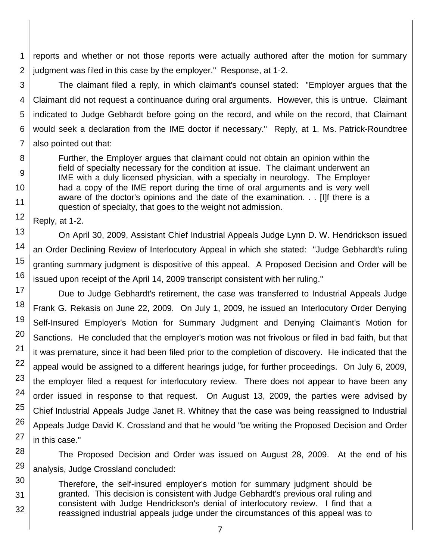1 2 reports and whether or not those reports were actually authored after the motion for summary judgment was filed in this case by the employer." Response, at 1-2.

3 4 5 6 7 The claimant filed a reply, in which claimant's counsel stated: "Employer argues that the Claimant did not request a continuance during oral arguments. However, this is untrue. Claimant indicated to Judge Gebhardt before going on the record, and while on the record, that Claimant would seek a declaration from the IME doctor if necessary." Reply, at 1. Ms. Patrick-Roundtree also pointed out that:

Further, the Employer argues that claimant could not obtain an opinion within the field of specialty necessary for the condition at issue. The claimant underwent an IME with a duly licensed physician, with a specialty in neurology. The Employer had a copy of the IME report during the time of oral arguments and is very well aware of the doctor's opinions and the date of the examination. . . [I]f there is a question of specialty, that goes to the weight not admission.

12 Reply, at 1-2.

8

9

10

11

30

31

32

13 14 15 16 On April 30, 2009, Assistant Chief Industrial Appeals Judge Lynn D. W. Hendrickson issued an Order Declining Review of Interlocutory Appeal in which she stated: "Judge Gebhardt's ruling granting summary judgment is dispositive of this appeal. A Proposed Decision and Order will be issued upon receipt of the April 14, 2009 transcript consistent with her ruling."

17 18 19 20 21 22 23 24 25 26 27 Due to Judge Gebhardt's retirement, the case was transferred to Industrial Appeals Judge Frank G. Rekasis on June 22, 2009. On July 1, 2009, he issued an Interlocutory Order Denying Self-Insured Employer's Motion for Summary Judgment and Denying Claimant's Motion for Sanctions. He concluded that the employer's motion was not frivolous or filed in bad faith, but that it was premature, since it had been filed prior to the completion of discovery. He indicated that the appeal would be assigned to a different hearings judge, for further proceedings. On July 6, 2009, the employer filed a request for interlocutory review. There does not appear to have been any order issued in response to that request. On August 13, 2009, the parties were advised by Chief Industrial Appeals Judge Janet R. Whitney that the case was being reassigned to Industrial Appeals Judge David K. Crossland and that he would "be writing the Proposed Decision and Order in this case."

28 29 The Proposed Decision and Order was issued on August 28, 2009. At the end of his analysis, Judge Crossland concluded:

Therefore, the self-insured employer's motion for summary judgment should be granted. This decision is consistent with Judge Gebhardt's previous oral ruling and consistent with Judge Hendrickson's denial of interlocutory review. I find that a reassigned industrial appeals judge under the circumstances of this appeal was to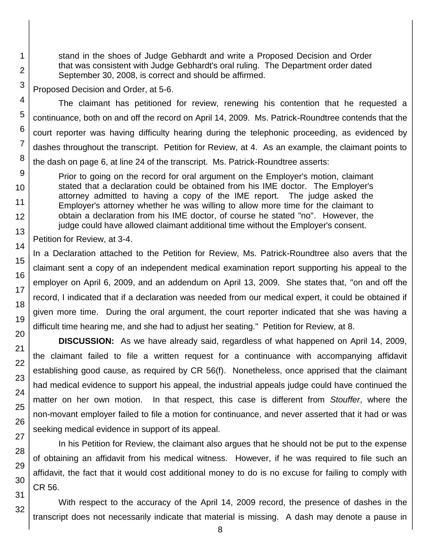stand in the shoes of Judge Gebhardt and write a Proposed Decision and Order that was consistent with Judge Gebhardt's oral ruling. The Department order dated September 30, 2008, is correct and should be affirmed.

Proposed Decision and Order, at 5-6.

The claimant has petitioned for review, renewing his contention that he requested a continuance, both on and off the record on April 14, 2009. Ms. Patrick-Roundtree contends that the court reporter was having difficulty hearing during the telephonic proceeding, as evidenced by dashes throughout the transcript. Petition for Review, at 4. As an example, the claimant points to the dash on page 6, at line 24 of the transcript. Ms. Patrick-Roundtree asserts:

Prior to going on the record for oral argument on the Employer's motion, claimant stated that a declaration could be obtained from his IME doctor. The Employer's attorney admitted to having a copy of the IME report. The judge asked the Employer's attorney whether he was willing to allow more time for the claimant to obtain a declaration from his IME doctor, of course he stated "no". However, the judge could have allowed claimant additional time without the Employer's consent.

Petition for Review, at 3-4.

In a Declaration attached to the Petition for Review, Ms. Patrick-Roundtree also avers that the claimant sent a copy of an independent medical examination report supporting his appeal to the employer on April 6, 2009, and an addendum on April 13, 2009. She states that, "on and off the record, I indicated that if a declaration was needed from our medical expert, it could be obtained if given more time. During the oral argument, the court reporter indicated that she was having a difficult time hearing me, and she had to adjust her seating." Petition for Review, at 8.

**DISCUSSION:** As we have already said, regardless of what happened on April 14, 2009, the claimant failed to file a written request for a continuance with accompanying affidavit establishing good cause, as required by CR 56(f). Nonetheless, once apprised that the claimant had medical evidence to support his appeal, the industrial appeals judge could have continued the matter on her own motion. In that respect, this case is different from *Stouffer*, where the non-movant employer failed to file a motion for continuance, and never asserted that it had or was seeking medical evidence in support of its appeal.

In his Petition for Review, the claimant also argues that he should not be put to the expense of obtaining an affidavit from his medical witness. However, if he was required to file such an affidavit, the fact that it would cost additional money to do is no excuse for failing to comply with CR 56.

With respect to the accuracy of the April 14, 2009 record, the presence of dashes in the transcript does not necessarily indicate that material is missing. A dash may denote a pause in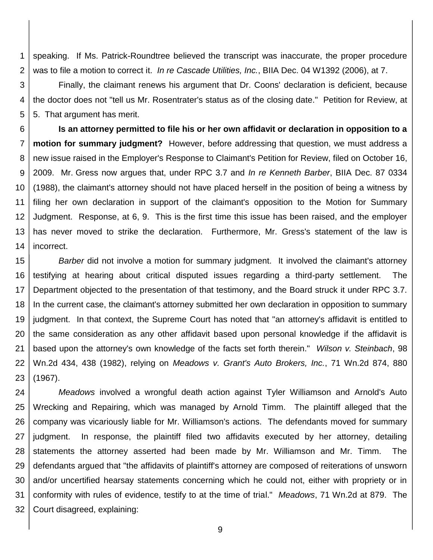1 2 speaking. If Ms. Patrick-Roundtree believed the transcript was inaccurate, the proper procedure was to file a motion to correct it. *In re Cascade Utilities, Inc.*, BIIA Dec. 04 W1392 (2006), at 7.

3 4 5 Finally, the claimant renews his argument that Dr. Coons' declaration is deficient, because the doctor does not "tell us Mr. Rosentrater's status as of the closing date." Petition for Review, at 5. That argument has merit.

6 7 8 9 10 11 12 13 14 **Is an attorney permitted to file his or her own affidavit or declaration in opposition to a motion for summary judgment?** However, before addressing that question, we must address a new issue raised in the Employer's Response to Claimant's Petition for Review, filed on October 16, 2009. Mr. Gress now argues that, under RPC 3.7 and *In re Kenneth Barber*, BIIA Dec. 87 0334 (1988), the claimant's attorney should not have placed herself in the position of being a witness by filing her own declaration in support of the claimant's opposition to the Motion for Summary Judgment. Response, at 6, 9. This is the first time this issue has been raised, and the employer has never moved to strike the declaration. Furthermore, Mr. Gress's statement of the law is incorrect.

15 16 17 18 19 20 21 22 23 *Barber* did not involve a motion for summary judgment. It involved the claimant's attorney testifying at hearing about critical disputed issues regarding a third-party settlement. The Department objected to the presentation of that testimony, and the Board struck it under RPC 3.7. In the current case, the claimant's attorney submitted her own declaration in opposition to summary judgment. In that context, the Supreme Court has noted that "an attorney's affidavit is entitled to the same consideration as any other affidavit based upon personal knowledge if the affidavit is based upon the attorney's own knowledge of the facts set forth therein." *Wilson v. Steinbach*, 98 Wn.2d 434, 438 (1982), relying on *Meadows v. Grant's Auto Brokers, Inc.*, 71 Wn.2d 874, 880 (1967).

24 25 26 27 28 29 30 31 32 *Meadows* involved a wrongful death action against Tyler Williamson and Arnold's Auto Wrecking and Repairing, which was managed by Arnold Timm. The plaintiff alleged that the company was vicariously liable for Mr. Williamson's actions. The defendants moved for summary judgment. In response, the plaintiff filed two affidavits executed by her attorney, detailing statements the attorney asserted had been made by Mr. Williamson and Mr. Timm. The defendants argued that "the affidavits of plaintiff's attorney are composed of reiterations of unsworn and/or uncertified hearsay statements concerning which he could not, either with propriety or in conformity with rules of evidence, testify to at the time of trial." *Meadows*, 71 Wn.2d at 879. The Court disagreed, explaining: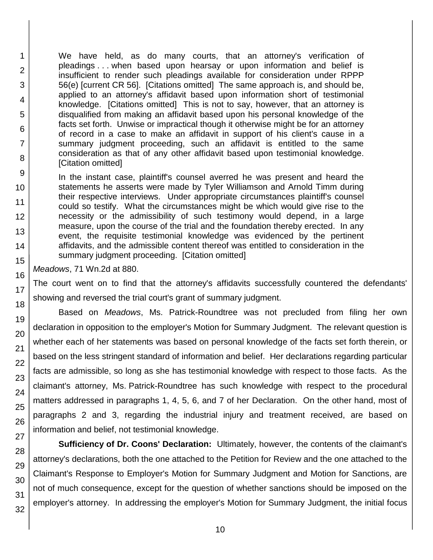We have held, as do many courts, that an attorney's verification of pleadings . . . when based upon hearsay or upon information and belief is insufficient to render such pleadings available for consideration under RPPP 56(e) [current CR 56]. [Citations omitted] The same approach is, and should be, applied to an attorney's affidavit based upon information short of testimonial knowledge. [Citations omitted] This is not to say, however, that an attorney is disqualified from making an affidavit based upon his personal knowledge of the facts set forth. Unwise or impractical though it otherwise might be for an attorney of record in a case to make an affidavit in support of his client's cause in a summary judgment proceeding, such an affidavit is entitled to the same consideration as that of any other affidavit based upon testimonial knowledge. [Citation omitted]

In the instant case, plaintiff's counsel averred he was present and heard the statements he asserts were made by Tyler Williamson and Arnold Timm during their respective interviews. Under appropriate circumstances plaintiff's counsel could so testify. What the circumstances might be which would give rise to the necessity or the admissibility of such testimony would depend, in a large measure, upon the course of the trial and the foundation thereby erected. In any event, the requisite testimonial knowledge was evidenced by the pertinent affidavits, and the admissible content thereof was entitled to consideration in the summary judgment proceeding. [Citation omitted]

*Meadows*, 71 Wn.2d at 880.

The court went on to find that the attorney's affidavits successfully countered the defendants' showing and reversed the trial court's grant of summary judgment.

Based on *Meadows*, Ms. Patrick-Roundtree was not precluded from filing her own declaration in opposition to the employer's Motion for Summary Judgment. The relevant question is whether each of her statements was based on personal knowledge of the facts set forth therein, or based on the less stringent standard of information and belief. Her declarations regarding particular facts are admissible, so long as she has testimonial knowledge with respect to those facts. As the claimant's attorney, Ms. Patrick-Roundtree has such knowledge with respect to the procedural matters addressed in paragraphs 1, 4, 5, 6, and 7 of her Declaration. On the other hand, most of paragraphs 2 and 3, regarding the industrial injury and treatment received, are based on information and belief, not testimonial knowledge.

**Sufficiency of Dr. Coons' Declaration:** Ultimately, however, the contents of the claimant's attorney's declarations, both the one attached to the Petition for Review and the one attached to the Claimant's Response to Employer's Motion for Summary Judgment and Motion for Sanctions, are not of much consequence, except for the question of whether sanctions should be imposed on the employer's attorney. In addressing the employer's Motion for Summary Judgment, the initial focus

1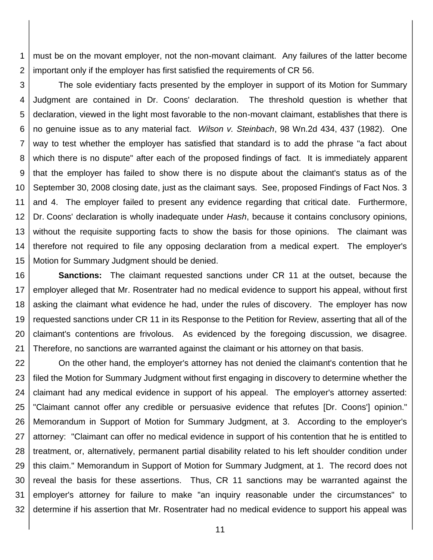1 2 must be on the movant employer, not the non-movant claimant. Any failures of the latter become important only if the employer has first satisfied the requirements of CR 56.

3 4 5 6 7 8 9 10 11 12 13 14 15 The sole evidentiary facts presented by the employer in support of its Motion for Summary Judgment are contained in Dr. Coons' declaration. The threshold question is whether that declaration, viewed in the light most favorable to the non-movant claimant, establishes that there is no genuine issue as to any material fact. *Wilson v. Steinbach*, 98 Wn.2d 434, 437 (1982). One way to test whether the employer has satisfied that standard is to add the phrase "a fact about which there is no dispute" after each of the proposed findings of fact. It is immediately apparent that the employer has failed to show there is no dispute about the claimant's status as of the September 30, 2008 closing date, just as the claimant says. See, proposed Findings of Fact Nos. 3 and 4. The employer failed to present any evidence regarding that critical date. Furthermore, Dr. Coons' declaration is wholly inadequate under *Hash*, because it contains conclusory opinions, without the requisite supporting facts to show the basis for those opinions. The claimant was therefore not required to file any opposing declaration from a medical expert. The employer's Motion for Summary Judgment should be denied.

16 17 18 19 20 21 **Sanctions:** The claimant requested sanctions under CR 11 at the outset, because the employer alleged that Mr. Rosentrater had no medical evidence to support his appeal, without first asking the claimant what evidence he had, under the rules of discovery. The employer has now requested sanctions under CR 11 in its Response to the Petition for Review, asserting that all of the claimant's contentions are frivolous. As evidenced by the foregoing discussion, we disagree. Therefore, no sanctions are warranted against the claimant or his attorney on that basis.

22 23 24 25 26 27 28 29 30 31 32 On the other hand, the employer's attorney has not denied the claimant's contention that he filed the Motion for Summary Judgment without first engaging in discovery to determine whether the claimant had any medical evidence in support of his appeal. The employer's attorney asserted: "Claimant cannot offer any credible or persuasive evidence that refutes [Dr. Coons'] opinion." Memorandum in Support of Motion for Summary Judgment, at 3. According to the employer's attorney: "Claimant can offer no medical evidence in support of his contention that he is entitled to treatment, or, alternatively, permanent partial disability related to his left shoulder condition under this claim." Memorandum in Support of Motion for Summary Judgment, at 1. The record does not reveal the basis for these assertions. Thus, CR 11 sanctions may be warranted against the employer's attorney for failure to make "an inquiry reasonable under the circumstances" to determine if his assertion that Mr. Rosentrater had no medical evidence to support his appeal was